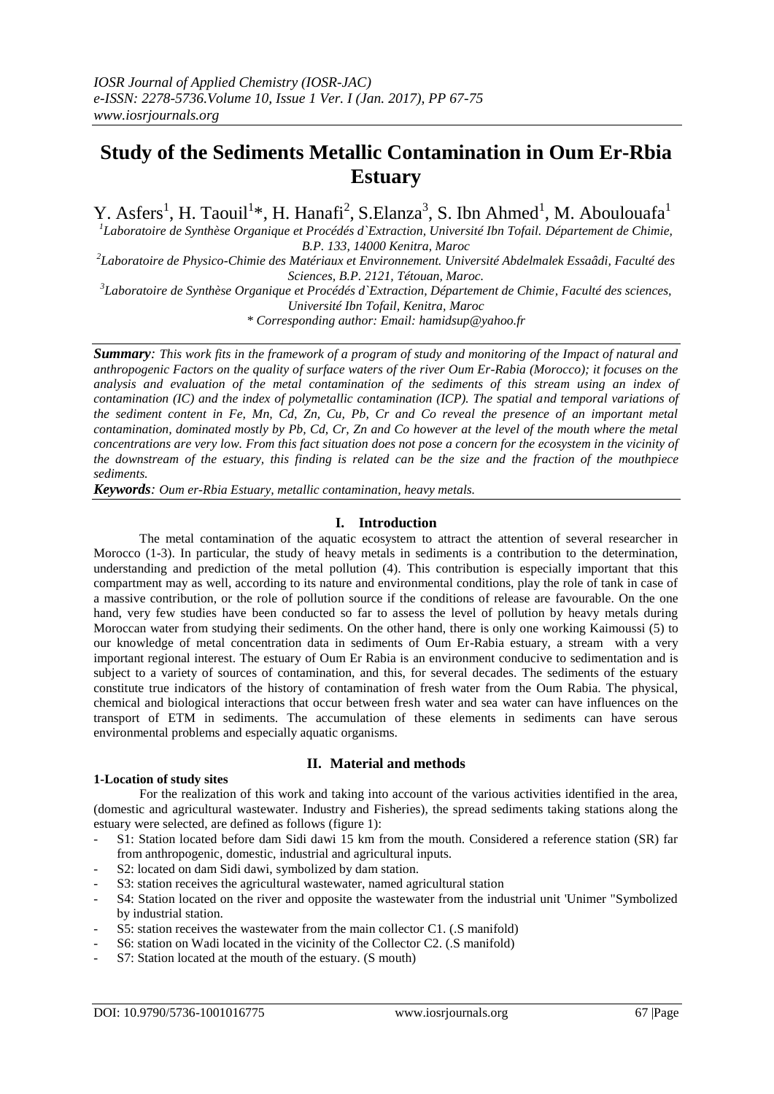## **Study of the Sediments Metallic Contamination in Oum Er-Rbia Estuary**

Y. Asfers<sup>1</sup>, H. Taouil<sup>1\*</sup>, H. Hanafi<sup>2</sup>, S. Elanza<sup>3</sup>, S. Ibn Ahmed<sup>1</sup>, M. Aboulouafa<sup>1</sup>

<sup>1</sup>Laboratoire de Synthèse Organique et Procédés d`Extraction, Université Ibn Tofail. Département de Chimie, *B.P. 133, 14000 Kenitra, Maroc*

*2 Laboratoire de Physico-Chimie des Matériaux et Environnement. Université Abdelmalek Essaâdi, Faculté des Sciences, B.P. 2121, Tétouan, Maroc.*

*3 Laboratoire de Synthèse Organique et Procédés d`Extraction, Département de Chimie, Faculté des sciences, Université Ibn Tofail, Kenitra, Maroc*

*\* Corresponding author: Email: hamidsup@yahoo.fr*

*Summary: This work fits in the framework of a program of study and monitoring of the Impact of natural and anthropogenic Factors on the quality of surface waters of the river Oum Er-Rabia (Morocco); it focuses on the analysis and evaluation of the metal contamination of the sediments of this stream using an index of contamination (IC) and the index of polymetallic contamination (ICP). The spatial and temporal variations of the sediment content in Fe, Mn, Cd, Zn, Cu, Pb, Cr and Co reveal the presence of an important metal contamination, dominated mostly by Pb, Cd, Cr, Zn and Co however at the level of the mouth where the metal concentrations are very low. From this fact situation does not pose a concern for the ecosystem in the vicinity of the downstream of the estuary, this finding is related can be the size and the fraction of the mouthpiece sediments.*

*Keywords: Oum er-Rbia Estuary, metallic contamination, heavy metals.*

#### **I. Introduction**

The metal contamination of the aquatic ecosystem to attract the attention of several researcher in Morocco (1-3). In particular, the study of heavy metals in sediments is a contribution to the determination, understanding and prediction of the metal pollution (4). This contribution is especially important that this compartment may as well, according to its nature and environmental conditions, play the role of tank in case of a massive contribution, or the role of pollution source if the conditions of release are favourable. On the one hand, very few studies have been conducted so far to assess the level of pollution by heavy metals during Moroccan water from studying their sediments. On the other hand, there is only one working Kaimoussi (5) to our knowledge of metal concentration data in sediments of Oum Er-Rabia estuary, a stream with a very important regional interest. The estuary of Oum Er Rabia is an environment conducive to sedimentation and is subject to a variety of sources of contamination, and this, for several decades. The sediments of the estuary constitute true indicators of the history of contamination of fresh water from the Oum Rabia. The physical, chemical and biological interactions that occur between fresh water and sea water can have influences on the transport of ETM in sediments. The accumulation of these elements in sediments can have serous environmental problems and especially aquatic organisms.

### **II. Material and methods**

#### **1-Location of study sites**

For the realization of this work and taking into account of the various activities identified in the area, (domestic and agricultural wastewater. Industry and Fisheries), the spread sediments taking stations along the estuary were selected, are defined as follows (figure 1):

- S1: Station located before dam Sidi dawi 15 km from the mouth. Considered a reference station (SR) far from anthropogenic, domestic, industrial and agricultural inputs.
- S2: located on dam Sidi dawi, symbolized by dam station.
- S3: station receives the agricultural wastewater, named agricultural station
- S4: Station located on the river and opposite the wastewater from the industrial unit 'Unimer "Symbolized by industrial station.
- S5: station receives the wastewater from the main collector C1. (.S manifold)
- S6: station on Wadi located in the vicinity of the Collector C2. (S manifold)
- S7: Station located at the mouth of the estuary. (S mouth)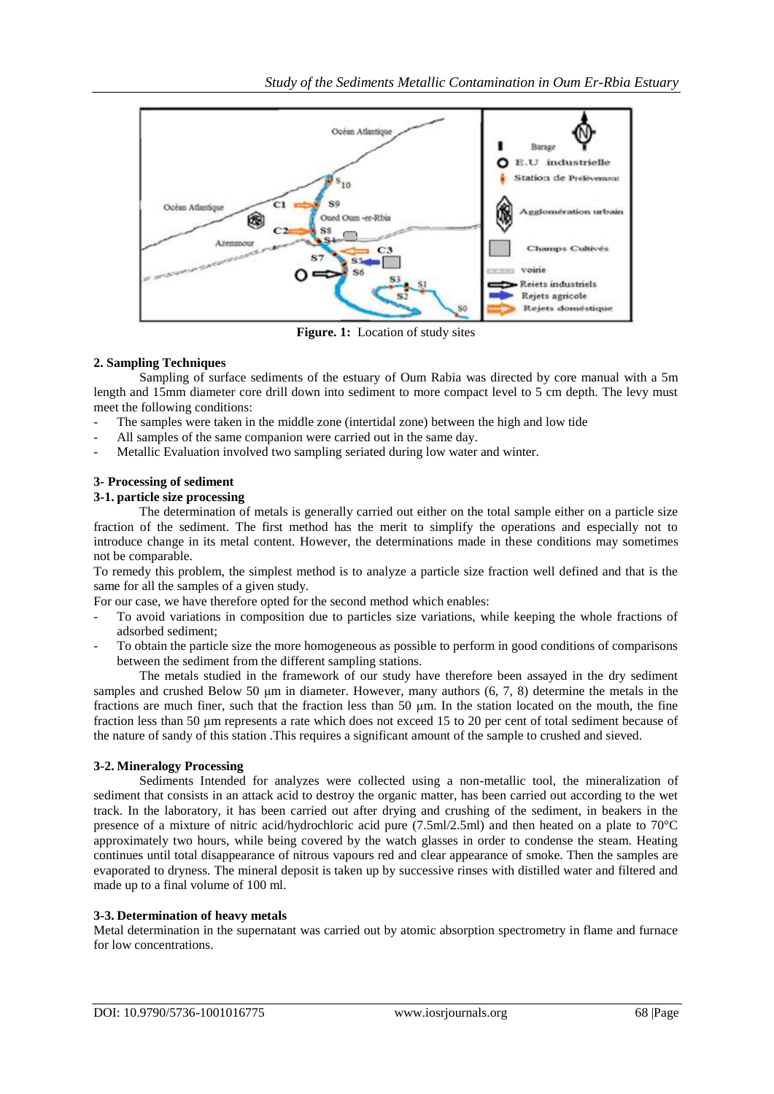

**Figure. 1:** Location of study sites

### **2. Sampling Techniques**

Sampling of surface sediments of the estuary of Oum Rabia was directed by core manual with a 5m length and 15mm diameter core drill down into sediment to more compact level to 5 cm depth. The levy must meet the following conditions:

- The samples were taken in the middle zone (intertidal zone) between the high and low tide
- All samples of the same companion were carried out in the same day.
- Metallic Evaluation involved two sampling seriated during low water and winter.

#### **3- Processing of sediment**

#### **3-1. particle size processing**

The determination of metals is generally carried out either on the total sample either on a particle size fraction of the sediment. The first method has the merit to simplify the operations and especially not to introduce change in its metal content. However, the determinations made in these conditions may sometimes not be comparable.

To remedy this problem, the simplest method is to analyze a particle size fraction well defined and that is the same for all the samples of a given study.

For our case, we have therefore opted for the second method which enables:

- To avoid variations in composition due to particles size variations, while keeping the whole fractions of adsorbed sediment;
- To obtain the particle size the more homogeneous as possible to perform in good conditions of comparisons between the sediment from the different sampling stations.

The metals studied in the framework of our study have therefore been assayed in the dry sediment samples and crushed Below 50 µm in diameter. However, many authors (6, 7, 8) determine the metals in the fractions are much finer, such that the fraction less than 50 μm. In the station located on the mouth, the fine fraction less than 50 μm represents a rate which does not exceed 15 to 20 per cent of total sediment because of the nature of sandy of this station .This requires a significant amount of the sample to crushed and sieved.

#### **3-2. Mineralogy Processing**

Sediments Intended for analyzes were collected using a non-metallic tool, the mineralization of sediment that consists in an attack acid to destroy the organic matter, has been carried out according to the wet track. In the laboratory, it has been carried out after drying and crushing of the sediment, in beakers in the presence of a mixture of nitric acid/hydrochloric acid pure (7.5ml/2.5ml) and then heated on a plate to 70°C approximately two hours, while being covered by the watch glasses in order to condense the steam. Heating continues until total disappearance of nitrous vapours red and clear appearance of smoke. Then the samples are evaporated to dryness. The mineral deposit is taken up by successive rinses with distilled water and filtered and made up to a final volume of 100 ml.

#### **3-3. Determination of heavy metals**

Metal determination in the supernatant was carried out by atomic absorption spectrometry in flame and furnace for low concentrations.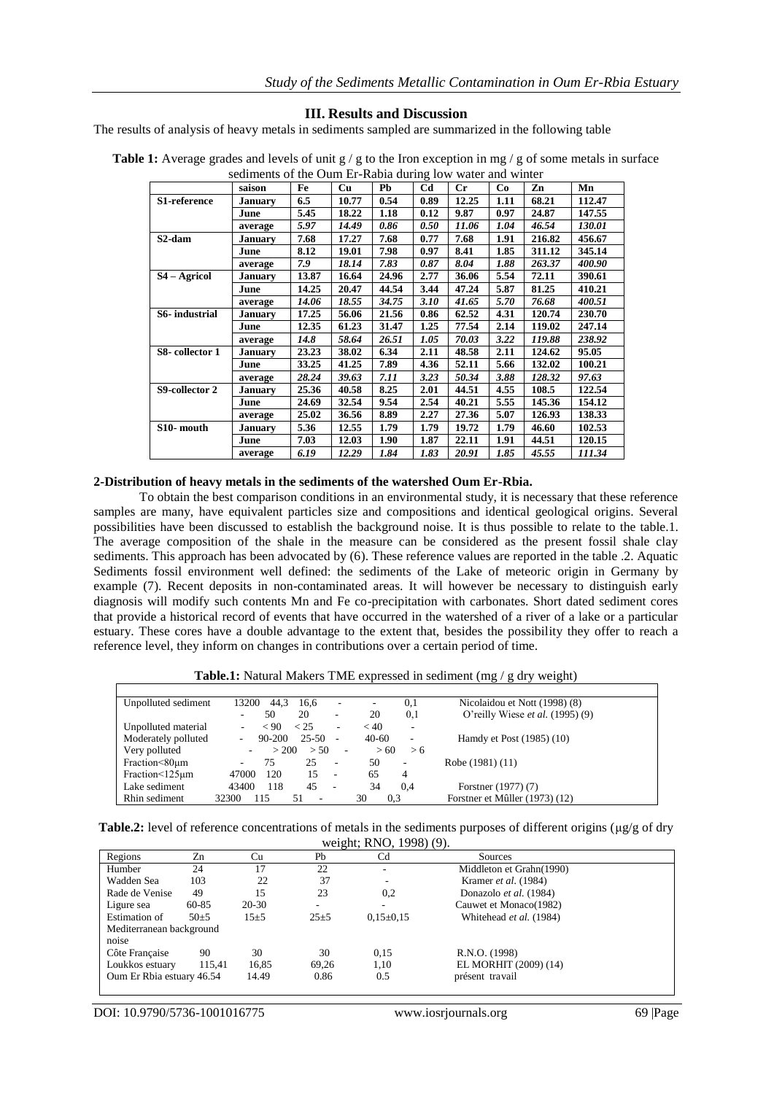#### **III. Results and Discussion**

The results of analysis of heavy metals in sediments sampled are summarized in the following table

| saison<br><b>January</b><br>June | Fe<br>6.5 | Cu    | Pb    | C <sub>d</sub> | $_{\rm Cr}$ | Co   | Zn     | Mn     |
|----------------------------------|-----------|-------|-------|----------------|-------------|------|--------|--------|
|                                  |           |       |       |                |             |      |        |        |
|                                  |           | 10.77 | 0.54  | 0.89           | 12.25       | 1.11 | 68.21  | 112.47 |
|                                  | 5.45      | 18.22 | 1.18  | 0.12           | 9.87        | 0.97 | 24.87  | 147.55 |
| average                          | 5.97      | 14.49 | 0.86  | 0.50           | 11.06       | 1.04 | 46.54  | 130.01 |
| January                          | 7.68      | 17.27 | 7.68  | 0.77           | 7.68        | 1.91 | 216.82 | 456.67 |
| June                             | 8.12      | 19.01 | 7.98  | 0.97           | 8.41        | 1.85 | 311.12 | 345.14 |
| average                          | 7.9       | 18.14 | 7.83  | 0.87           | 8.04        | 1.88 | 263.37 | 400.90 |
| January                          | 13.87     | 16.64 | 24.96 | 2.77           | 36.06       | 5.54 | 72.11  | 390.61 |
| June                             | 14.25     | 20.47 | 44.54 | 3.44           | 47.24       | 5.87 | 81.25  | 410.21 |
| average                          | 14.06     | 18.55 | 34.75 | 3.10           | 41.65       | 5.70 | 76.68  | 400.51 |
| <b>January</b>                   | 17.25     | 56.06 | 21.56 | 0.86           | 62.52       | 4.31 | 120.74 | 230.70 |
| June                             | 12.35     | 61.23 | 31.47 | 1.25           | 77.54       | 2.14 | 119.02 | 247.14 |
| average                          | 14.8      | 58.64 | 26.51 | 1.05           | 70.03       | 3.22 | 119.88 | 238.92 |
| <b>January</b>                   | 23.23     | 38.02 | 6.34  | 2.11           | 48.58       | 2.11 | 124.62 | 95.05  |
| June                             | 33.25     | 41.25 | 7.89  | 4.36           | 52.11       | 5.66 | 132.02 | 100.21 |
| average                          | 28.24     | 39.63 | 7.11  | 3.23           | 50.34       | 3.88 | 128.32 | 97.63  |
| January                          | 25.36     | 40.58 | 8.25  | 2.01           | 44.51       | 4.55 | 108.5  | 122.54 |
| June                             | 24.69     | 32.54 | 9.54  | 2.54           | 40.21       | 5.55 | 145.36 | 154.12 |
| average                          | 25.02     | 36.56 | 8.89  | 2.27           | 27.36       | 5.07 | 126.93 | 138.33 |
| <b>January</b>                   | 5.36      | 12.55 | 1.79  | 1.79           | 19.72       | 1.79 | 46.60  | 102.53 |
| June                             | 7.03      | 12.03 | 1.90  | 1.87           | 22.11       | 1.91 | 44.51  | 120.15 |
| average                          | 6.19      | 12.29 | 1.84  | 1.83           | 20.91       | 1.85 | 45.55  | 111.34 |
|                                  |           |       |       |                |             |      |        |        |

**Table 1:** Average grades and levels of unit  $g / g$  to the Iron exception in mg  $/g$  of some metals in surface sediments of the Oum Er-Rabia during low water and winter

#### **2-Distribution of heavy metals in the sediments of the watershed Oum Er-Rbia.**

To obtain the best comparison conditions in an environmental study, it is necessary that these reference samples are many, have equivalent particles size and compositions and identical geological origins. Several possibilities have been discussed to establish the background noise. It is thus possible to relate to the table.1. The average composition of the shale in the measure can be considered as the present fossil shale clay sediments. This approach has been advocated by (6). These reference values are reported in the table .2. Aquatic Sediments fossil environment well defined: the sediments of the Lake of meteoric origin in Germany by example (7). Recent deposits in non-contaminated areas. It will however be necessary to distinguish early diagnosis will modify such contents Mn and Fe co-precipitation with carbonates. Short dated sediment cores that provide a historical record of events that have occurred in the watershed of a river of a lake or a particular estuary. These cores have a double advantage to the extent that, besides the possibility they offer to reach a reference level, they inform on changes in contributions over a certain period of time.

**Table.1:** Natural Makers TME expressed in sediment (mg / g dry weight)

| Unpolluted sediment | 13200 | 44.3       | 16.6      | $\overline{\phantom{a}}$ | -         | 0,1                      | Nicolaidou et Nott (1998) (8)             |
|---------------------|-------|------------|-----------|--------------------------|-----------|--------------------------|-------------------------------------------|
|                     |       | 50         | 20        | ۰                        | 20        | 0,1                      | O'reilly Wiese <i>et al.</i> $(1995)$ (9) |
| Unpolluted material |       | ~< 90      | < 25      | $\overline{\phantom{a}}$ | < 40      | ٠                        |                                           |
| Moderately polluted |       | $90 - 200$ | $25 - 50$ | ٠                        | $40-60$   | $\overline{\phantom{a}}$ | Hamdy et Post (1985) (10)                 |
| Very polluted       |       | > 200      | > 50      | $\sim$                   | >60       | > 6                      |                                           |
| Fraction<80um       |       | 75         | 25        | $\overline{\phantom{a}}$ | 50        | ٠.                       | Robe (1981) (11)                          |
| Fraction<125um      | 47000 | 120        | 15        | $\overline{\phantom{a}}$ | 65        | 4                        |                                           |
| Lake sediment       | 43400 | 118        | 45        | $\overline{\phantom{a}}$ | 34        | 0.4                      | Forstner (1977) (7)                       |
| Rhin sediment       | 32300 | 115        | 51<br>٠   |                          | 30<br>0.3 |                          | Forstner et Mûller (1973) (12)            |

| <b>Table.2:</b> level of reference concentrations of metals in the sediments purposes of different origins ( $\mu$ g/g of dry |                         |  |  |
|-------------------------------------------------------------------------------------------------------------------------------|-------------------------|--|--|
|                                                                                                                               | weight; RNO, 1998) (9). |  |  |

| $m_{2,1}$ , $m_{3,2}$ , $m_{2,2}$ |        |           |          |                 |                          |  |  |  |
|-----------------------------------|--------|-----------|----------|-----------------|--------------------------|--|--|--|
| Regions                           | Zn     | Cu        | Pb       | Cd              | Sources                  |  |  |  |
| Humber                            | 24     |           | 22       | ۰               | Middleton et Grahn(1990) |  |  |  |
| Wadden Sea                        | 103    | 22        | 37       |                 | Kramer et al. (1984)     |  |  |  |
| Rade de Venise                    | 49     | 15        | 23       | 0,2             | Donazolo et al. (1984)   |  |  |  |
| Ligure sea                        | 60-85  | $20 - 30$ | ۰.       |                 | Cauwet et Monaco(1982)   |  |  |  |
| Estimation of                     | $50+5$ | $15+5$    | $25 + 5$ | $0.15 \pm 0.15$ | Whitehead et al. (1984)  |  |  |  |
| Mediterranean background          |        |           |          |                 |                          |  |  |  |
| noise                             |        |           |          |                 |                          |  |  |  |
| Côte Française                    | 90     | 30        | 30       | 0.15            | R.N.O. (1998)            |  |  |  |
| Loukkos estuary                   | 115.41 | 16.85     | 69,26    | 1,10            | EL MORHIT (2009) (14)    |  |  |  |
| Oum Er Rbia estuary 46.54         |        | 14.49     | 0.86     | 0.5             | présent travail          |  |  |  |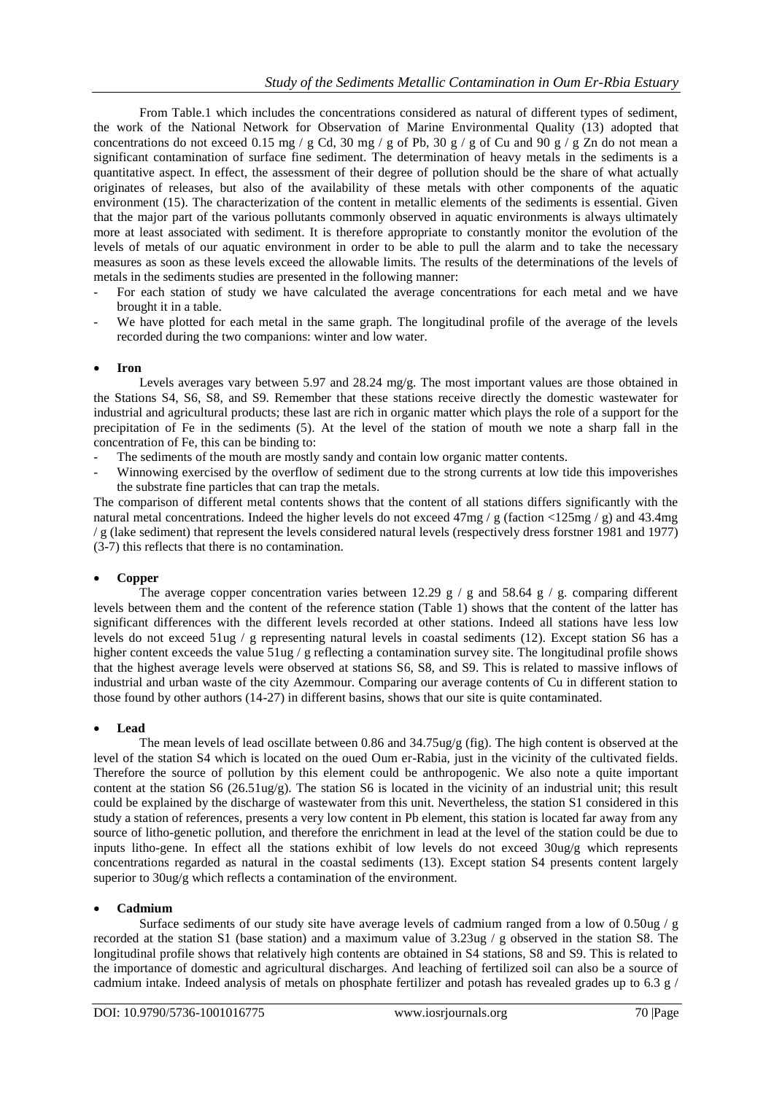From Table.1 which includes the concentrations considered as natural of different types of sediment, the work of the National Network for Observation of Marine Environmental Quality (13) adopted that concentrations do not exceed 0.15 mg / g Cd, 30 mg / g of Pb, 30 g / g of Cu and 90 g / g Zn do not mean a significant contamination of surface fine sediment. The determination of heavy metals in the sediments is a quantitative aspect. In effect, the assessment of their degree of pollution should be the share of what actually originates of releases, but also of the availability of these metals with other components of the aquatic environment (15). The characterization of the content in metallic elements of the sediments is essential. Given that the major part of the various pollutants commonly observed in aquatic environments is always ultimately more at least associated with sediment. It is therefore appropriate to constantly monitor the evolution of the levels of metals of our aquatic environment in order to be able to pull the alarm and to take the necessary measures as soon as these levels exceed the allowable limits. The results of the determinations of the levels of metals in the sediments studies are presented in the following manner:

- For each station of study we have calculated the average concentrations for each metal and we have brought it in a table.
- We have plotted for each metal in the same graph. The longitudinal profile of the average of the levels recorded during the two companions: winter and low water.

#### **Iron**

Levels averages vary between 5.97 and 28.24 mg/g. The most important values are those obtained in the Stations S4, S6, S8, and S9. Remember that these stations receive directly the domestic wastewater for industrial and agricultural products; these last are rich in organic matter which plays the role of a support for the precipitation of Fe in the sediments (5). At the level of the station of mouth we note a sharp fall in the concentration of Fe, this can be binding to:

- The sediments of the mouth are mostly sandy and contain low organic matter contents.
- Winnowing exercised by the overflow of sediment due to the strong currents at low tide this impoverishes the substrate fine particles that can trap the metals.

The comparison of different metal contents shows that the content of all stations differs significantly with the natural metal concentrations. Indeed the higher levels do not exceed  $47mg / g$  (faction <125mg / g) and 43.4mg / g (lake sediment) that represent the levels considered natural levels (respectively dress forstner 1981 and 1977) (3-7) this reflects that there is no contamination.

#### **Copper**

The average copper concentration varies between 12.29 g / g and 58.64 g / g. comparing different levels between them and the content of the reference station (Table 1) shows that the content of the latter has significant differences with the different levels recorded at other stations. Indeed all stations have less low levels do not exceed 51ug / g representing natural levels in coastal sediments (12). Except station S6 has a higher content exceeds the value 51ug / g reflecting a contamination survey site. The longitudinal profile shows that the highest average levels were observed at stations S6, S8, and S9. This is related to massive inflows of industrial and urban waste of the city Azemmour. Comparing our average contents of Cu in different station to those found by other authors (14-27) in different basins, shows that our site is quite contaminated.

#### **Lead**

The mean levels of lead oscillate between 0.86 and 34.75ug/g (fig). The high content is observed at the level of the station S4 which is located on the oued Oum er-Rabia, just in the vicinity of the cultivated fields. Therefore the source of pollution by this element could be anthropogenic. We also note a quite important content at the station S6 (26.51ug/g). The station S6 is located in the vicinity of an industrial unit; this result could be explained by the discharge of wastewater from this unit. Nevertheless, the station S1 considered in this study a station of references, presents a very low content in Pb element, this station is located far away from any source of litho-genetic pollution, and therefore the enrichment in lead at the level of the station could be due to inputs litho-gene. In effect all the stations exhibit of low levels do not exceed 30ug/g which represents concentrations regarded as natural in the coastal sediments (13). Except station S4 presents content largely superior to 30ug/g which reflects a contamination of the environment.

#### **Cadmium**

Surface sediments of our study site have average levels of cadmium ranged from a low of 0.50ug /  $g$ recorded at the station S1 (base station) and a maximum value of 3.23ug / g observed in the station S8. The longitudinal profile shows that relatively high contents are obtained in S4 stations, S8 and S9. This is related to the importance of domestic and agricultural discharges. And leaching of fertilized soil can also be a source of cadmium intake. Indeed analysis of metals on phosphate fertilizer and potash has revealed grades up to 6.3 g /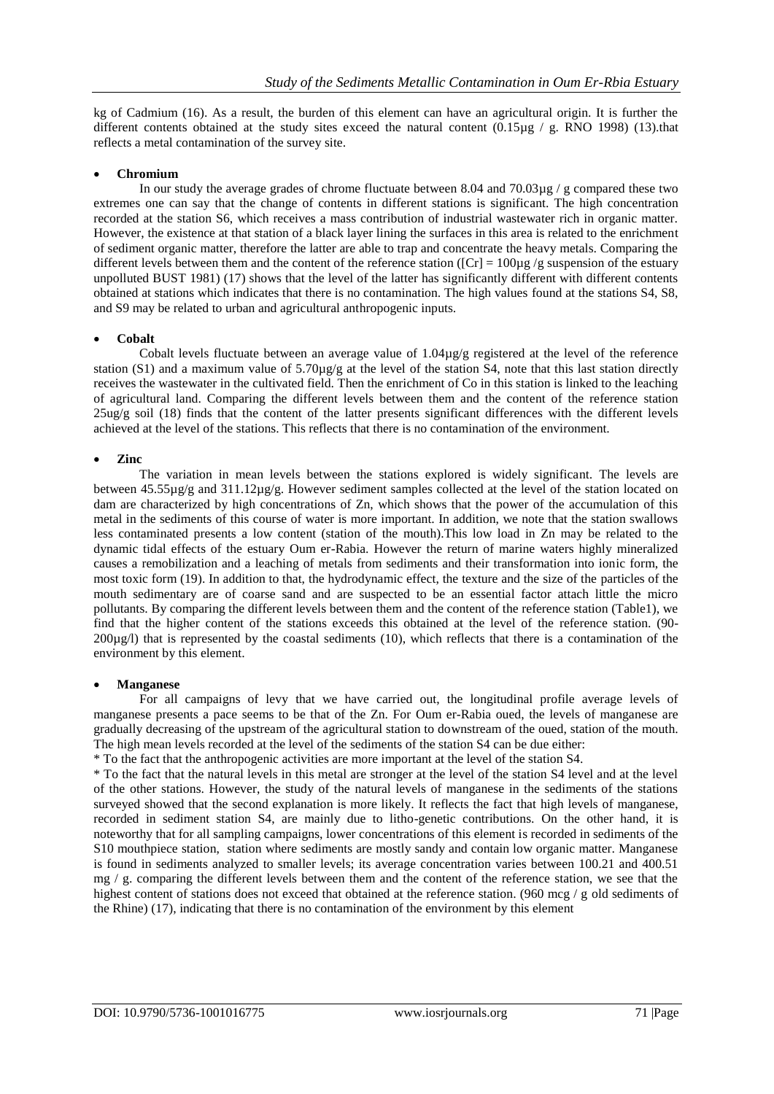kg of Cadmium (16). As a result, the burden of this element can have an agricultural origin. It is further the different contents obtained at the study sites exceed the natural content  $(0.15\mu g / g$ . RNO 1998) (13).that reflects a metal contamination of the survey site.

#### **Chromium**

In our study the average grades of chrome fluctuate between 8.04 and  $70.03\mu$ g / g compared these two extremes one can say that the change of contents in different stations is significant. The high concentration recorded at the station S6, which receives a mass contribution of industrial wastewater rich in organic matter. However, the existence at that station of a black layer lining the surfaces in this area is related to the enrichment of sediment organic matter, therefore the latter are able to trap and concentrate the heavy metals. Comparing the different levels between them and the content of the reference station ( $[Cr] = 100\mu g/g$  suspension of the estuary unpolluted BUST 1981) (17) shows that the level of the latter has significantly different with different contents obtained at stations which indicates that there is no contamination. The high values found at the stations S4, S8, and S9 may be related to urban and agricultural anthropogenic inputs.

#### **Cobalt**

Cobalt levels fluctuate between an average value of 1.04µg/g registered at the level of the reference station (S1) and a maximum value of  $5.70\mu g/g$  at the level of the station S4, note that this last station directly receives the wastewater in the cultivated field. Then the enrichment of Co in this station is linked to the leaching of agricultural land. Comparing the different levels between them and the content of the reference station  $25\mu\text{g/s}$  soil (18) finds that the content of the latter presents significant differences with the different levels achieved at the level of the stations. This reflects that there is no contamination of the environment.

#### **Zinc**

The variation in mean levels between the stations explored is widely significant. The levels are between 45.55µg/g and 311.12µg/g. However sediment samples collected at the level of the station located on dam are characterized by high concentrations of Zn, which shows that the power of the accumulation of this metal in the sediments of this course of water is more important. In addition, we note that the station swallows less contaminated presents a low content (station of the mouth).This low load in Zn may be related to the dynamic tidal effects of the estuary Oum er-Rabia. However the return of marine waters highly mineralized causes a remobilization and a leaching of metals from sediments and their transformation into ionic form, the most toxic form (19). In addition to that, the hydrodynamic effect, the texture and the size of the particles of the mouth sedimentary are of coarse sand and are suspected to be an essential factor attach little the micro pollutants. By comparing the different levels between them and the content of the reference station (Table1), we find that the higher content of the stations exceeds this obtained at the level of the reference station. (90- 200µg/l) that is represented by the coastal sediments (10), which reflects that there is a contamination of the environment by this element.

#### **Manganese**

For all campaigns of levy that we have carried out, the longitudinal profile average levels of manganese presents a pace seems to be that of the Zn. For Oum er-Rabia oued, the levels of manganese are gradually decreasing of the upstream of the agricultural station to downstream of the oued, station of the mouth. The high mean levels recorded at the level of the sediments of the station S4 can be due either:

\* To the fact that the anthropogenic activities are more important at the level of the station S4.

\* To the fact that the natural levels in this metal are stronger at the level of the station S4 level and at the level of the other stations. However, the study of the natural levels of manganese in the sediments of the stations surveyed showed that the second explanation is more likely. It reflects the fact that high levels of manganese, recorded in sediment station S4, are mainly due to litho-genetic contributions. On the other hand, it is noteworthy that for all sampling campaigns, lower concentrations of this element is recorded in sediments of the S10 mouthpiece station, station where sediments are mostly sandy and contain low organic matter. Manganese is found in sediments analyzed to smaller levels; its average concentration varies between 100.21 and 400.51 mg  $/$  g. comparing the different levels between them and the content of the reference station, we see that the highest content of stations does not exceed that obtained at the reference station. (960 mcg / g old sediments of the Rhine) (17), indicating that there is no contamination of the environment by this element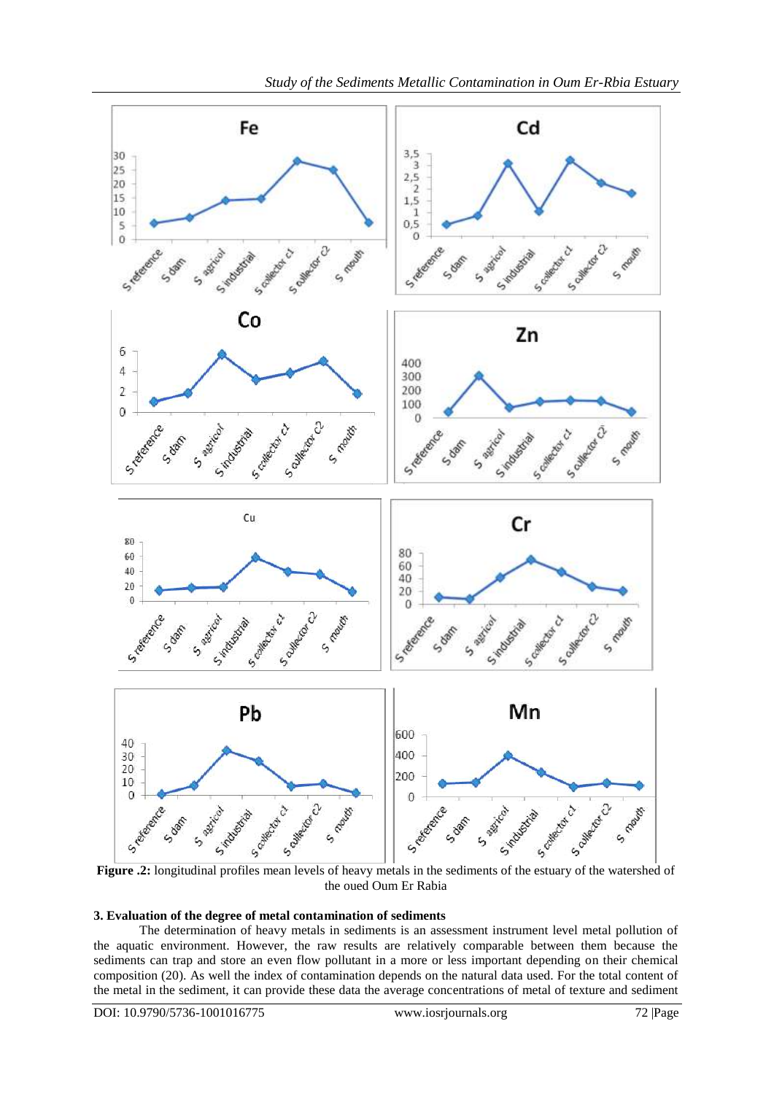

**Figure .2:** longitudinal profiles mean levels of heavy metals in the sediments of the estuary of the watershed of the oued Oum Er Rabia

### **3. Evaluation of the degree of metal contamination of sediments**

The determination of heavy metals in sediments is an assessment instrument level metal pollution of the aquatic environment. However, the raw results are relatively comparable between them because the sediments can trap and store an even flow pollutant in a more or less important depending on their chemical composition (20). As well the index of contamination depends on the natural data used. For the total content of the metal in the sediment, it can provide these data the average concentrations of metal of texture and sediment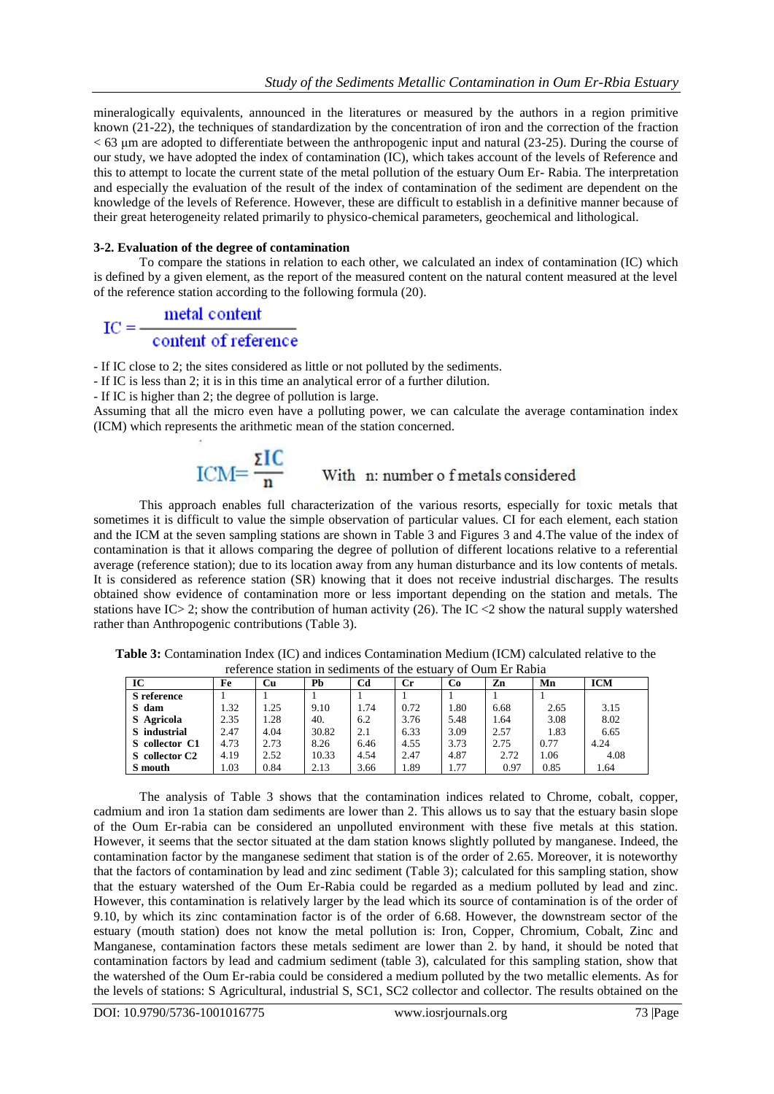mineralogically equivalents, announced in the literatures or measured by the authors in a region primitive known (21-22), the techniques of standardization by the concentration of iron and the correction of the fraction < 63 μm are adopted to differentiate between the anthropogenic input and natural (23-25). During the course of our study, we have adopted the index of contamination (IC), which takes account of the levels of Reference and this to attempt to locate the current state of the metal pollution of the estuary Oum Er- Rabia. The interpretation and especially the evaluation of the result of the index of contamination of the sediment are dependent on the knowledge of the levels of Reference. However, these are difficult to establish in a definitive manner because of their great heterogeneity related primarily to physico-chemical parameters, geochemical and lithological.

#### **3-2. Evaluation of the degree of contamination**

To compare the stations in relation to each other, we calculated an index of contamination (IC) which is defined by a given element, as the report of the measured content on the natural content measured at the level of the reference station according to the following formula (20).

# $\text{IC} = \frac{\text{metal content}}{\text{content of reference}}$

- If IC close to 2; the sites considered as little or not polluted by the sediments.

- If IC is less than 2; it is in this time an analytical error of a further dilution.

- If IC is higher than 2; the degree of pollution is large.

Assuming that all the micro even have a polluting power, we can calculate the average contamination index (ICM) which represents the arithmetic mean of the station concerned.

$$
ICM = \frac{\Sigma IC}{n}
$$
 With n: number of metals considered

This approach enables full characterization of the various resorts, especially for toxic metals that sometimes it is difficult to value the simple observation of particular values. CI for each element, each station and the ICM at the seven sampling stations are shown in Table 3 and Figures 3 and 4.The value of the index of contamination is that it allows comparing the degree of pollution of different locations relative to a referential average (reference station); due to its location away from any human disturbance and its low contents of metals. It is considered as reference station (SR) knowing that it does not receive industrial discharges. The results obtained show evidence of contamination more or less important depending on the station and metals. The stations have IC> 2; show the contribution of human activity (26). The IC <2 show the natural supply watershed rather than Anthropogenic contributions (Table 3).

| reference station in sediments of the estuary of Oum Er Rabia |      |      |       |      |             |      |      |      |            |
|---------------------------------------------------------------|------|------|-------|------|-------------|------|------|------|------------|
| IC                                                            | Fe   | Cu   | Рb    | Cd   | $_{\rm Cr}$ | Co   | Zn   | Mn   | <b>ICM</b> |
| <b>S</b> reference                                            |      |      |       |      |             |      |      |      |            |
| S dam                                                         | 1.32 | 1.25 | 9.10  | 1.74 | 0.72        | 1.80 | 6.68 | 2.65 | 3.15       |
| S Agricola                                                    | 2.35 | 1.28 | 40.   | 6.2  | 3.76        | 5.48 | 1.64 | 3.08 | 8.02       |
| S industrial                                                  | 2.47 | 4.04 | 30.82 | 2.1  | 6.33        | 3.09 | 2.57 | 1.83 | 6.65       |
| S collector C1                                                | 4.73 | 2.73 | 8.26  | 6.46 | 4.55        | 3.73 | 2.75 | 0.77 | 4.24       |
| S collector C <sub>2</sub>                                    | 4.19 | 2.52 | 10.33 | 4.54 | 2.47        | 4.87 | 2.72 | 1.06 | 4.08       |
| S mouth                                                       | 1.03 | 0.84 | 2.13  | 3.66 | 1.89        | 1.77 | 0.97 | 0.85 | 1.64       |

**Table 3:** Contamination Index (IC) and indices Contamination Medium (ICM) calculated relative to the reference station in sediments of the estuary of Oum Er Rabia

The analysis of Table 3 shows that the contamination indices related to Chrome, cobalt, copper, cadmium and iron 1a station dam sediments are lower than 2. This allows us to say that the estuary basin slope of the Oum Er-rabia can be considered an unpolluted environment with these five metals at this station. However, it seems that the sector situated at the dam station knows slightly polluted by manganese. Indeed, the contamination factor by the manganese sediment that station is of the order of 2.65. Moreover, it is noteworthy that the factors of contamination by lead and zinc sediment (Table 3); calculated for this sampling station, show that the estuary watershed of the Oum Er-Rabia could be regarded as a medium polluted by lead and zinc. However, this contamination is relatively larger by the lead which its source of contamination is of the order of 9.10, by which its zinc contamination factor is of the order of 6.68. However, the downstream sector of the estuary (mouth station) does not know the metal pollution is: Iron, Copper, Chromium, Cobalt, Zinc and Manganese, contamination factors these metals sediment are lower than 2. by hand, it should be noted that contamination factors by lead and cadmium sediment (table 3), calculated for this sampling station, show that the watershed of the Oum Er-rabia could be considered a medium polluted by the two metallic elements. As for the levels of stations: S Agricultural, industrial S, SC1, SC2 collector and collector. The results obtained on the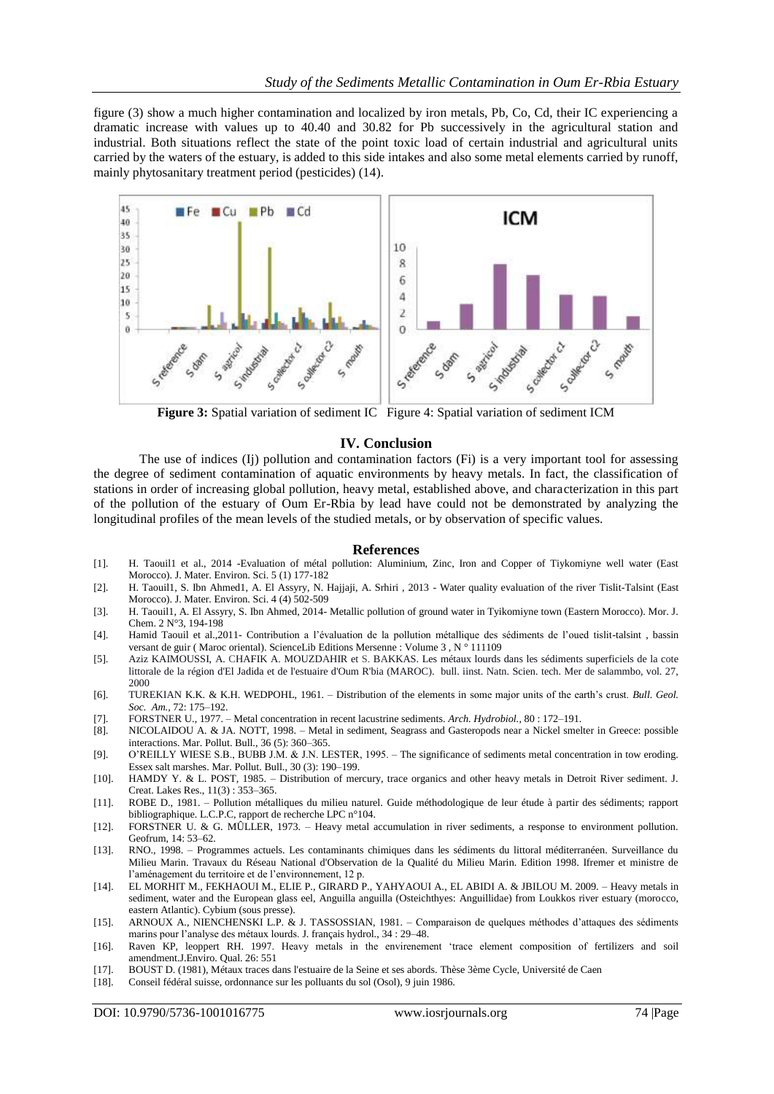figure (3) show a much higher contamination and localized by iron metals, Pb, Co, Cd, their IC experiencing a dramatic increase with values up to 40.40 and 30.82 for Pb successively in the agricultural station and industrial. Both situations reflect the state of the point toxic load of certain industrial and agricultural units carried by the waters of the estuary, is added to this side intakes and also some metal elements carried by runoff, mainly phytosanitary treatment period (pesticides) (14).



**Figure 3:** Spatial variation of sediment IC Figure 4: Spatial variation of sediment ICM

#### **IV. Conclusion**

The use of indices (Ij) pollution and contamination factors (Fi) is a very important tool for assessing the degree of sediment contamination of aquatic environments by heavy metals. In fact, the classification of stations in order of increasing global pollution, heavy metal, established above, and characterization in this part of the pollution of the estuary of Oum Er-Rbia by lead have could not be demonstrated by analyzing the longitudinal profiles of the mean levels of the studied metals, or by observation of specific values.

#### **References**

- [1]. H. Taouil1 et al., 2014 -Evaluation of métal pollution: Aluminium, Zinc, Iron and Copper of Tiykomiyne well water (East Morocco). J. Mater. Environ. Sci. 5 (1) 177-182
- [2]. H. Taouil1, S. Ibn Ahmed1, A. El Assyry, N. Hajjaji, A. Srhiri , 2013 Water quality evaluation of the river Tislit-Talsint (East Morocco). J. Mater. Environ. Sci. 4 (4) 502-509
- [3]. H. Taouil1, A. El Assyry, S. Ibn Ahmed, 2014- Metallic pollution of ground water in Tyikomiyne town (Eastern Morocco). Mor. J. Chem. 2 N°3, 194-198
- [4]. Hamid Taouil et al.,2011- Contribution a l'évaluation de la pollution métallique des sédiments de l'oued tislit-talsint , bassin versant de guir ( Maroc oriental). ScienceLib Editions Mersenne : Volume 3 , N ° 111109
- [5]. Aziz KAIMOUSSI, A. CHAFIK A. MOUZDAHIR et S. BAKKAS. Les métaux lourds dans les sédiments superficiels de la cote littorale de la région d'El Jadida et de l'estuaire d'Oum R'bia (MAROC). bull. iinst. Natn. Scien. tech. Mer de salammbo, vol. 27, 2000
- [6]. TUREKIAN K.K. & K.H. WEDPOHL, 1961. Distribution of the elements in some major units of the earth's crust. *Bull. Geol. Soc. Am.,* 72: 175–192.
- [7]. FORSTNER U., 1977. Metal concentration in recent lacustrine sediments. *Arch. Hydrobiol.,* 80 : 172–191.
- [8]. NICOLAIDOU A. & JA. NOTT, 1998. Metal in sediment, Seagrass and Gasteropods near a Nickel smelter in Greece: possible interactions. Mar. Pollut. Bull., 36 (5): 360–365.
- [9]. O'REILLY WIESE S.B., BUBB J.M. & J.N. LESTER, 1995. The significance of sediments metal concentration in tow eroding. Essex salt marshes. Mar. Pollut. Bull., 30 (3): 190–199.
- [10]. HAMDY Y. & L. POST, 1985. Distribution of mercury, trace organics and other heavy metals in Detroit River sediment. J. Creat. Lakes Res., 11(3) : 353–365.
- [11]. ROBE D., 1981. Pollution métalliques du milieu naturel. Guide méthodologique de leur étude à partir des sédiments; rapport bibliographique. L.C.P.C, rapport de recherche LPC n°104.
- [12]. FORSTNER U. & G. MÛLLER, 1973. Heavy metal accumulation in river sediments, a response to environment pollution. Geofrum, 14: 53–62.
- [13]. RNO., 1998. Programmes actuels. Les contaminants chimiques dans les sédiments du littoral méditerranéen. Surveillance du Milieu Marin. Travaux du Réseau National d'Observation de la Qualité du Milieu Marin. Edition 1998. Ifremer et ministre de l'aménagement du territoire et de l'environnement, 12 p.
- [14]. EL MORHIT M., FEKHAOUI M., ELIE P., GIRARD P., YAHYAOUI A., EL ABIDI A. & JBILOU M. 2009. Heavy metals in sediment, water and the European glass eel, Anguilla anguilla (Osteichthyes: Anguillidae) from Loukkos river estuary (morocco, eastern Atlantic). Cybium (sous presse).
- [15]. ARNOUX A., NIENCHENSKI L.P. & J. TASSOSSIAN, 1981. Comparaison de quelques méthodes d'attaques des sédiments marins pour l'analyse des métaux lourds. J. français hydrol., 34 : 29–48.
- [16]. Raven KP, leoppert RH. 1997. Heavy metals in the envirenement 'trace element composition of fertilizers and soil amendment.J.Enviro. Qual. 26: 551
- [17]. BOUST D. (1981), Métaux traces dans l'estuaire de la Seine et ses abords. Thèse 3ème Cycle, Université de Caen
- [18]. Conseil fédéral suisse, ordonnance sur les polluants du sol (Osol), 9 juin 1986.